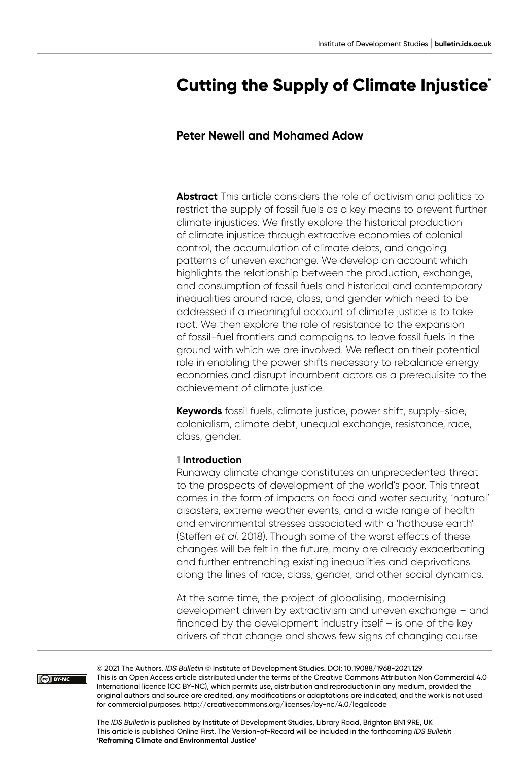# **Cutting the Supply of Climate Injustice\***

# **Peter Newell and Mohamed Adow**

**Abstract** This article considers the role of activism and politics to restrict the supply of fossil fuels as a key means to prevent further climate injustices. We firstly explore the historical production of climate injustice through extractive economies of colonial control, the accumulation of climate debts, and ongoing patterns of uneven exchange. We develop an account which highlights the relationship between the production, exchange, and consumption of fossil fuels and historical and contemporary inequalities around race, class, and gender which need to be addressed if a meaningful account of climate justice is to take root. We then explore the role of resistance to the expansion of fossil-fuel frontiers and campaigns to leave fossil fuels in the ground with which we are involved. We reflect on their potential role in enabling the power shifts necessary to rebalance energy economies and disrupt incumbent actors as a prerequisite to the achievement of climate justice.

**Keywords** fossil fuels, climate justice, power shift, supply-side, colonialism, climate debt, unequal exchange, resistance, race, class, gender.

#### **1 Introduction**

Runaway climate change constitutes an unprecedented threat to the prospects of development of the world's poor. This threat comes in the form of impacts on food and water security, 'natural' disasters, extreme weather events, and a wide range of health and environmental stresses associated with a 'hothouse earth' (Steffen *et al.* 2018). Though some of the worst effects of these changes will be felt in the future, many are already exacerbating and further entrenching existing inequalities and deprivations along the lines of race, class, gender, and other social dynamics.

At the same time, the project of globalising, modernising development driven by extractivism and uneven exchange – and financed by the development industry itself – is one of the key drivers of that change and shows few signs of changing course

CO BY-NC

© 2021 The Authors. *IDS Bulletin* © Institute of Development Studies. DOI: [10.19088/1968-2021.129](https://doi.org/10.19088/1968-2021.129) This is an Open Access article distributed under the terms of the Creative Commons Attribution Non Commercial 4.0 International licence (CC BY-NC), which permits use, distribution and reproduction in any medium, provided the original authors and source are credited, any modifications or adaptations are indicated, and the work is not used for commercial purposes.<http://creativecommons.org/licenses/by-nc/4.0/legalcode>

The *IDS Bulletin* is published by Institute of Development Studies, Library Road, Brighton BN1 9RE, UK This article is published Online First. The Version-of-Record will be included in the forthcoming *IDS Bulletin* **'Reframing Climate and Environmental Justice'**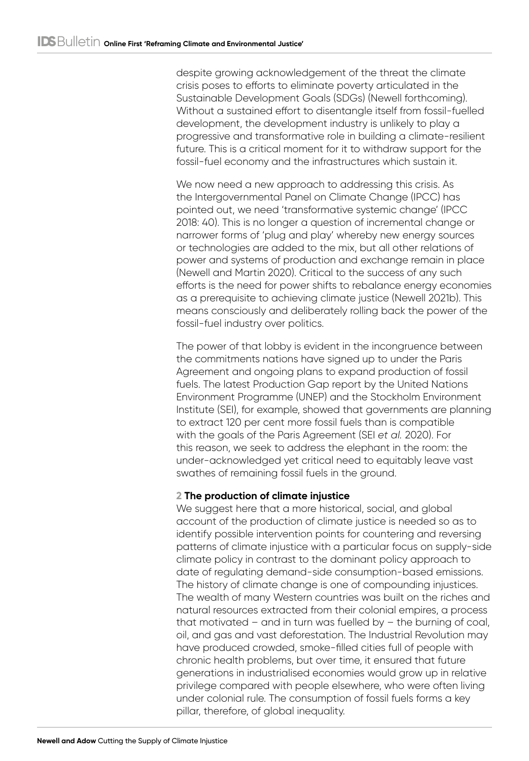despite growing acknowledgement of the threat the climate crisis poses to efforts to eliminate poverty articulated in the Sustainable Development Goals (SDGs) (Newell forthcoming). Without a sustained effort to disentangle itself from fossil-fuelled development, the development industry is unlikely to play a progressive and transformative role in building a climate-resilient future. This is a critical moment for it to withdraw support for the fossil-fuel economy and the infrastructures which sustain it.

We now need a new approach to addressing this crisis. As the Intergovernmental Panel on Climate Change (IPCC) has pointed out, we need 'transformative systemic change' (IPCC 2018: 40). This is no longer a question of incremental change or narrower forms of 'plug and play' whereby new energy sources or technologies are added to the mix, but all other relations of power and systems of production and exchange remain in place (Newell and Martin 2020). Critical to the success of any such efforts is the need for power shifts to rebalance energy economies as a prerequisite to achieving climate justice (Newell 2021b). This means consciously and deliberately rolling back the power of the fossil-fuel industry over politics.

The power of that lobby is evident in the incongruence between the commitments nations have signed up to under the Paris Agreement and ongoing plans to expand production of fossil fuels. The latest Production Gap report by the United Nations Environment Programme (UNEP) and the Stockholm Environment Institute (SEI), for example, showed that governments are planning to extract 120 per cent more fossil fuels than is compatible with the goals of the Paris Agreement (SEI *et al.* 2020). For this reason, we seek to address the elephant in the room: the under-acknowledged yet critical need to equitably leave vast swathes of remaining fossil fuels in the ground.

# **2 The production of climate injustice**

We suggest here that a more historical, social, and global account of the production of climate justice is needed so as to identify possible intervention points for countering and reversing patterns of climate injustice with a particular focus on supply-side climate policy in contrast to the dominant policy approach to date of regulating demand-side consumption-based emissions. The history of climate change is one of compounding injustices. The wealth of many Western countries was built on the riches and natural resources extracted from their colonial empires, a process that motivated – and in turn was fuelled by – the burning of coal, oil, and gas and vast deforestation. The Industrial Revolution may have produced crowded, smoke-filled cities full of people with chronic health problems, but over time, it ensured that future generations in industrialised economies would grow up in relative privilege compared with people elsewhere, who were often living under colonial rule. The consumption of fossil fuels forms a key pillar, therefore, of global inequality.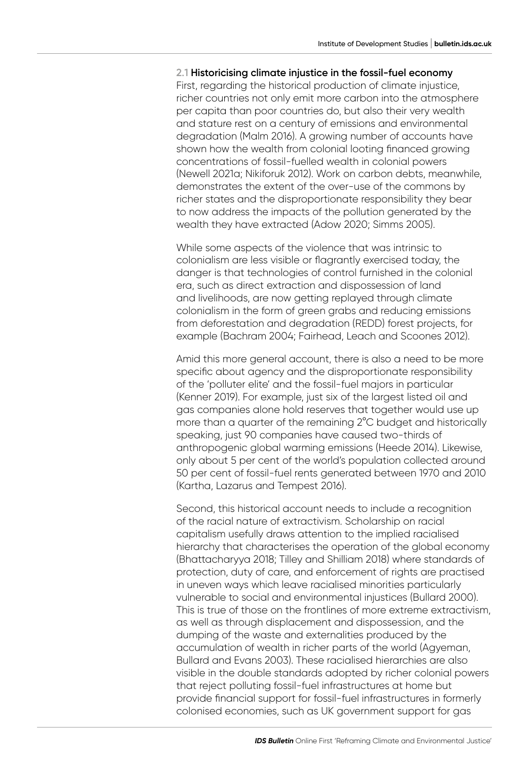#### **2.1 Historicising climate injustice in the fossil-fuel economy**

First, regarding the historical production of climate injustice, richer countries not only emit more carbon into the atmosphere per capita than poor countries do, but also their very wealth and stature rest on a century of emissions and environmental degradation (Malm 2016). A growing number of accounts have shown how the wealth from colonial looting financed growing concentrations of fossil-fuelled wealth in colonial powers (Newell 2021a; Nikiforuk 2012). Work on carbon debts, meanwhile, demonstrates the extent of the over-use of the commons by richer states and the disproportionate responsibility they bear to now address the impacts of the pollution generated by the wealth they have extracted (Adow 2020; Simms 2005).

While some aspects of the violence that was intrinsic to colonialism are less visible or flagrantly exercised today, the danger is that technologies of control furnished in the colonial era, such as direct extraction and dispossession of land and livelihoods, are now getting replayed through climate colonialism in the form of green grabs and reducing emissions from deforestation and degradation (REDD) forest projects, for example (Bachram 2004; Fairhead, Leach and Scoones 2012).

Amid this more general account, there is also a need to be more specific about agency and the disproportionate responsibility of the 'polluter elite' and the fossil-fuel majors in particular (Kenner 2019). For example, just six of the largest listed oil and gas companies alone hold reserves that together would use up more than a quarter of the remaining 2°C budget and historically speaking, just 90 companies have caused two-thirds of anthropogenic global warming emissions (Heede 2014). Likewise, only about 5 per cent of the world's population collected around 50 per cent of fossil-fuel rents generated between 1970 and 2010 (Kartha, Lazarus and Tempest 2016).

Second, this historical account needs to include a recognition of the racial nature of extractivism. Scholarship on racial capitalism usefully draws attention to the implied racialised hierarchy that characterises the operation of the global economy (Bhattacharyya 2018; Tilley and Shilliam 2018) where standards of protection, duty of care, and enforcement of rights are practised in uneven ways which leave racialised minorities particularly vulnerable to social and environmental injustices (Bullard 2000). This is true of those on the frontlines of more extreme extractivism, as well as through displacement and dispossession, and the dumping of the waste and externalities produced by the accumulation of wealth in richer parts of the world (Agyeman, Bullard and Evans 2003). These racialised hierarchies are also visible in the double standards adopted by richer colonial powers that reject polluting fossil-fuel infrastructures at home but provide financial support for fossil-fuel infrastructures in formerly colonised economies, such as UK government support for gas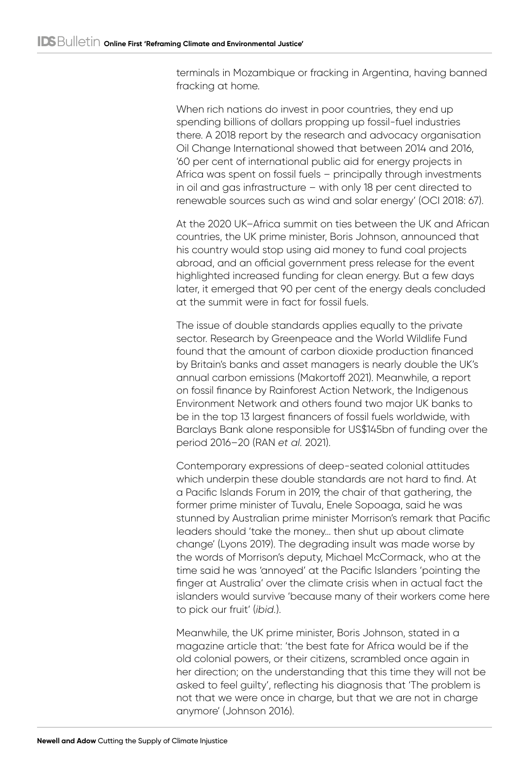terminals in Mozambique or fracking in Argentina, having banned fracking at home.

When rich nations do invest in poor countries, they end up spending billions of dollars propping up fossil-fuel industries there. A 2018 report by the research and advocacy organisation Oil Change International showed that between 2014 and 2016, '60 per cent of international public aid for energy projects in Africa was spent on fossil fuels – principally through investments in oil and gas infrastructure – with only 18 per cent directed to renewable sources such as wind and solar energy' (OCI 2018: 67).

At the 2020 UK–Africa summit on ties between the UK and African countries, the UK prime minister, Boris Johnson, announced that his country would stop using aid money to fund coal projects abroad, and an official government press release for the event highlighted increased funding for clean energy. But a few days later, it emerged that 90 per cent of the energy deals concluded at the summit were in fact for fossil fuels.

The issue of double standards applies equally to the private sector. Research by Greenpeace and the World Wildlife Fund found that the amount of carbon dioxide production financed by Britain's banks and asset managers is nearly double the UK's annual carbon emissions (Makortoff 2021). Meanwhile, a report on fossil finance by Rainforest Action Network, the Indigenous Environment Network and others found two major UK banks to be in the top 13 largest financers of fossil fuels worldwide, with Barclays Bank alone responsible for US\$145bn of funding over the period 2016–20 (RAN *et al.* 2021).

Contemporary expressions of deep-seated colonial attitudes which underpin these double standards are not hard to find. At a Pacific Islands Forum in 2019, the chair of that gathering, the former prime minister of Tuvalu, Enele Sopoaga, said he was stunned by Australian prime minister Morrison's remark that Pacific leaders should 'take the money… then shut up about climate change' (Lyons 2019). The degrading insult was made worse by the words of Morrison's deputy, Michael McCormack, who at the time said he was 'annoyed' at the Pacific Islanders 'pointing the finger at Australia' over the climate crisis when in actual fact the islanders would survive 'because many of their workers come here to pick our fruit' (*ibid.*).

Meanwhile, the UK prime minister, Boris Johnson, stated in a magazine article that: 'the best fate for Africa would be if the old colonial powers, or their citizens, scrambled once again in her direction; on the understanding that this time they will not be asked to feel guilty', reflecting his diagnosis that 'The problem is not that we were once in charge, but that we are not in charge anymore' (Johnson 2016).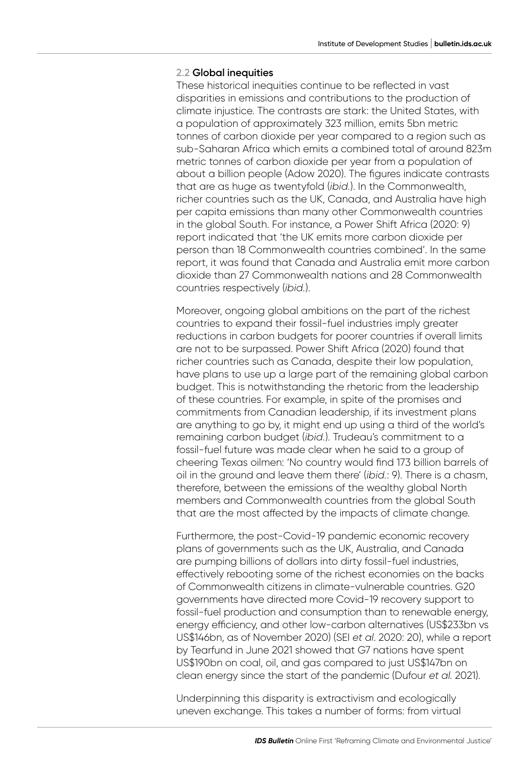#### **2.2 Global inequities**

These historical inequities continue to be reflected in vast disparities in emissions and contributions to the production of climate injustice. The contrasts are stark: the United States, with a population of approximately 323 million, emits 5bn metric tonnes of carbon dioxide per year compared to a region such as sub-Saharan Africa which emits a combined total of around 823m metric tonnes of carbon dioxide per year from a population of about a billion people (Adow 2020). The figures indicate contrasts that are as huge as twentyfold (*ibid.*). In the Commonwealth, richer countries such as the UK, Canada, and Australia have high per capita emissions than many other Commonwealth countries in the global South. For instance, a Power Shift Africa (2020: 9) report indicated that 'the UK emits more carbon dioxide per person than 18 Commonwealth countries combined'. In the same report, it was found that Canada and Australia emit more carbon dioxide than 27 Commonwealth nations and 28 Commonwealth countries respectively (*ibid.*).

Moreover, ongoing global ambitions on the part of the richest countries to expand their fossil-fuel industries imply greater reductions in carbon budgets for poorer countries if overall limits are not to be surpassed. Power Shift Africa (2020) found that richer countries such as Canada, despite their low population, have plans to use up a large part of the remaining global carbon budget. This is notwithstanding the rhetoric from the leadership of these countries. For example, in spite of the promises and commitments from Canadian leadership, if its investment plans are anything to go by, it might end up using a third of the world's remaining carbon budget (*ibid.*). Trudeau's commitment to a fossil-fuel future was made clear when he said to a group of cheering Texas oilmen: 'No country would find 173 billion barrels of oil in the ground and leave them there' (*ibid.*: 9). There is a chasm, therefore, between the emissions of the wealthy global North members and Commonwealth countries from the global South that are the most affected by the impacts of climate change.

Furthermore, the post-Covid-19 pandemic economic recovery plans of governments such as the UK, Australia, and Canada are pumping billions of dollars into dirty fossil-fuel industries, effectively rebooting some of the richest economies on the backs of Commonwealth citizens in climate-vulnerable countries. G20 governments have directed more Covid-19 recovery support to fossil-fuel production and consumption than to renewable energy, energy efficiency, and other low-carbon alternatives (US\$233bn vs US\$146bn, as of November 2020) (SEI *et al*. 2020: 20), while a report by Tearfund in June 2021 showed that G7 nations have spent US\$190bn on coal, oil, and gas compared to just US\$147bn on clean energy since the start of the pandemic (Dufour *et al.* 2021).

Underpinning this disparity is extractivism and ecologically uneven exchange. This takes a number of forms: from virtual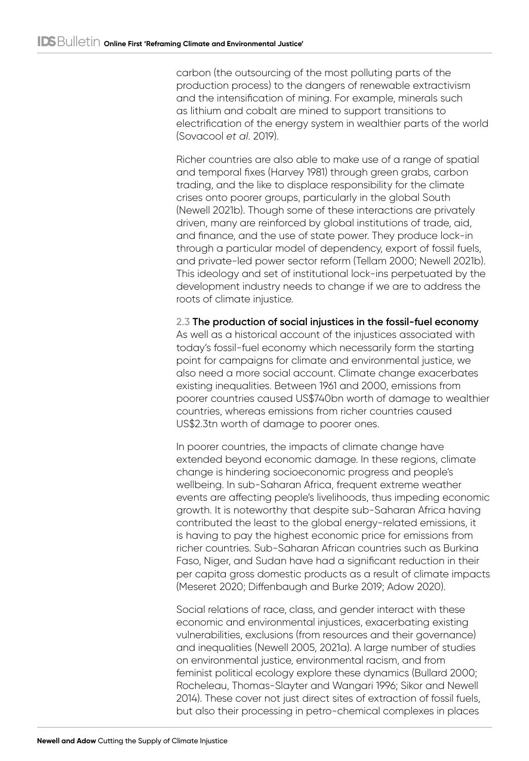carbon (the outsourcing of the most polluting parts of the production process) to the dangers of renewable extractivism and the intensification of mining. For example, minerals such as lithium and cobalt are mined to support transitions to electrification of the energy system in wealthier parts of the world (Sovacool *et al*. 2019).

Richer countries are also able to make use of a range of spatial and temporal fixes (Harvey 1981) through green grabs, carbon trading, and the like to displace responsibility for the climate crises onto poorer groups, particularly in the global South (Newell 2021b). Though some of these interactions are privately driven, many are reinforced by global institutions of trade, aid, and finance, and the use of state power. They produce lock-in through a particular model of dependency, export of fossil fuels, and private-led power sector reform (Tellam 2000; Newell 2021b). This ideology and set of institutional lock-ins perpetuated by the development industry needs to change if we are to address the roots of climate injustice.

**2.3 The production of social injustices in the fossil-fuel economy** As well as a historical account of the injustices associated with today's fossil-fuel economy which necessarily form the starting point for campaigns for climate and environmental justice, we also need a more social account. Climate change exacerbates existing inequalities. Between 1961 and 2000, emissions from poorer countries caused US\$740bn worth of damage to wealthier countries, whereas emissions from richer countries caused US\$2.3tn worth of damage to poorer ones.

In poorer countries, the impacts of climate change have extended beyond economic damage. In these regions, climate change is hindering socioeconomic progress and people's wellbeing. In sub-Saharan Africa, frequent extreme weather events are affecting people's livelihoods, thus impeding economic growth. It is noteworthy that despite sub-Saharan Africa having contributed the least to the global energy-related emissions, it is having to pay the highest economic price for emissions from richer countries. Sub-Saharan African countries such as Burkina Faso, Niger, and Sudan have had a significant reduction in their per capita gross domestic products as a result of climate impacts (Meseret 2020; Diffenbaugh and Burke 2019; Adow 2020).

Social relations of race, class, and gender interact with these economic and environmental injustices, exacerbating existing vulnerabilities, exclusions (from resources and their governance) and inequalities (Newell 2005, 2021a). A large number of studies on environmental justice, environmental racism, and from feminist political ecology explore these dynamics (Bullard 2000; Rocheleau, Thomas-Slayter and Wangari 1996; Sikor and Newell 2014). These cover not just direct sites of extraction of fossil fuels, but also their processing in petro-chemical complexes in places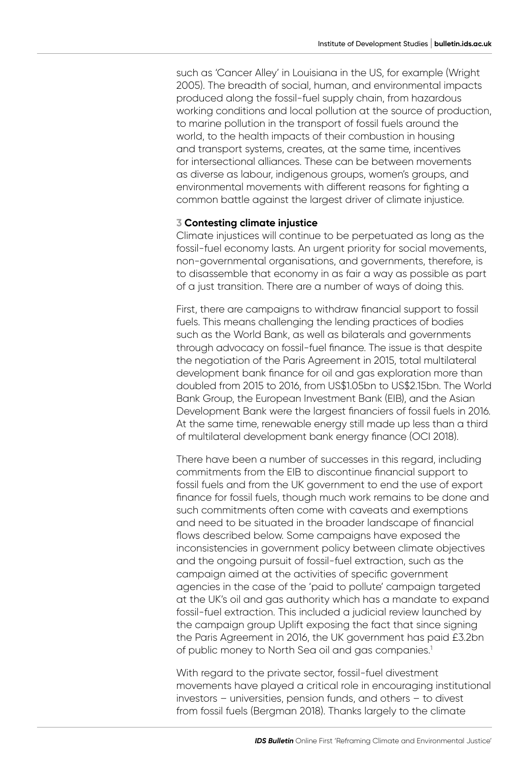such as 'Cancer Alley' in Louisiana in the US, for example (Wright 2005). The breadth of social, human, and environmental impacts produced along the fossil-fuel supply chain, from hazardous working conditions and local pollution at the source of production, to marine pollution in the transport of fossil fuels around the world, to the health impacts of their combustion in housing and transport systems, creates, at the same time, incentives for intersectional alliances. These can be between movements as diverse as labour, indigenous groups, women's groups, and environmental movements with different reasons for fighting a common battle against the largest driver of climate injustice.

#### **3 Contesting climate injustice**

Climate injustices will continue to be perpetuated as long as the fossil-fuel economy lasts. An urgent priority for social movements, non-governmental organisations, and governments, therefore, is to disassemble that economy in as fair a way as possible as part of a just transition. There are a number of ways of doing this.

First, there are campaigns to withdraw financial support to fossil fuels. This means challenging the lending practices of bodies such as the World Bank, as well as bilaterals and governments through advocacy on fossil-fuel finance. The issue is that despite the negotiation of the Paris Agreement in 2015, total multilateral development bank finance for oil and gas exploration more than doubled from 2015 to 2016, from US\$1.05bn to US\$2.15bn. The World Bank Group, the European Investment Bank (EIB), and the Asian Development Bank were the largest financiers of fossil fuels in 2016. At the same time, renewable energy still made up less than a third of multilateral development bank energy finance (OCI 2018).

There have been a number of successes in this regard, including commitments from the EIB to discontinue financial support to fossil fuels and from the UK government to end the use of export finance for fossil fuels, though much work remains to be done and such commitments often come with caveats and exemptions and need to be situated in the broader landscape of financial flows described below. Some campaigns have exposed the inconsistencies in government policy between climate objectives and the ongoing pursuit of fossil-fuel extraction, such as the campaign aimed at the activities of specific government agencies in the case of the 'paid to pollute' campaign targeted at the UK's oil and gas authority which has a mandate to expand fossil-fuel extraction. This included a judicial review launched by the campaign group Uplift exposing the fact that since signing the Paris Agreement in 2016, the UK government has paid £3.2bn of public money to North Sea oil and gas companies.<sup>1</sup>

With regard to the private sector, fossil-fuel divestment movements have played a critical role in encouraging institutional investors – universities, pension funds, and others – to divest from fossil fuels (Bergman 2018). Thanks largely to the climate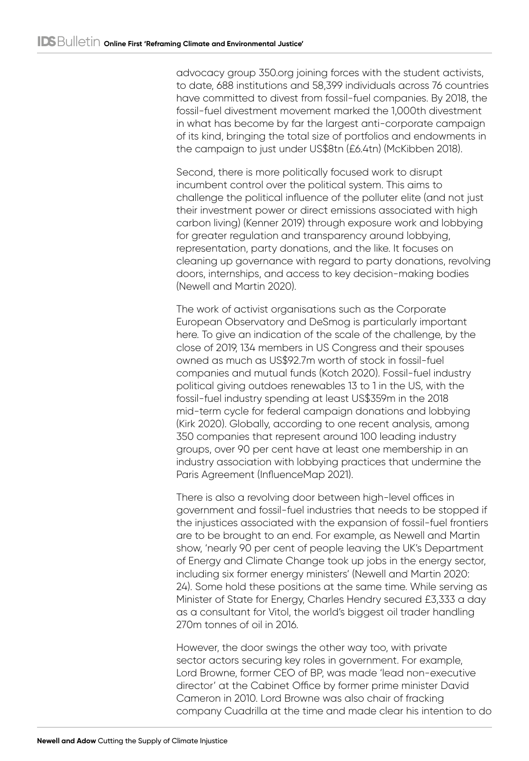advocacy group 350.org joining forces with the student activists, to date, 688 institutions and 58,399 individuals across 76 countries have committed to divest from fossil-fuel companies. By 2018, the fossil-fuel divestment movement marked the 1,000th divestment in what has become by far the largest anti-corporate campaign of its kind, bringing the total size of portfolios and endowments in the campaign to just under US\$8tn (£6.4tn) (McKibben 2018).

Second, there is more politically focused work to disrupt incumbent control over the political system. This aims to challenge the political influence of the polluter elite (and not just their investment power or direct emissions associated with high carbon living) (Kenner 2019) through exposure work and lobbying for greater regulation and transparency around lobbying, representation, party donations, and the like. It focuses on cleaning up governance with regard to party donations, revolving doors, internships, and access to key decision-making bodies (Newell and Martin 2020).

The work of activist organisations such as the Corporate European Observatory and DeSmog is particularly important here. To give an indication of the scale of the challenge, by the close of 2019, 134 members in US Congress and their spouses owned as much as US\$92.7m worth of stock in fossil-fuel companies and mutual funds (Kotch 2020). Fossil-fuel industry political giving outdoes renewables 13 to 1 in the US, with the fossil-fuel industry spending at least US\$359m in the 2018 mid-term cycle for federal campaign donations and lobbying (Kirk 2020). Globally, according to one recent analysis, among 350 companies that represent around 100 leading industry groups, over 90 per cent have at least one membership in an industry association with lobbying practices that undermine the Paris Agreement (InfluenceMap 2021).

There is also a revolving door between high-level offices in government and fossil-fuel industries that needs to be stopped if the injustices associated with the expansion of fossil-fuel frontiers are to be brought to an end. For example, as Newell and Martin show, 'nearly 90 per cent of people leaving the UK's Department of Energy and Climate Change took up jobs in the energy sector, including six former energy ministers' (Newell and Martin 2020: 24). Some hold these positions at the same time. While serving as Minister of State for Energy, Charles Hendry secured £3,333 a day as a consultant for Vitol, the world's biggest oil trader handling 270m tonnes of oil in 2016.

However, the door swings the other way too, with private sector actors securing key roles in government. For example, Lord Browne, former CEO of BP, was made 'lead non-executive director' at the Cabinet Office by former prime minister David Cameron in 2010. Lord Browne was also chair of fracking company Cuadrilla at the time and made clear his intention to do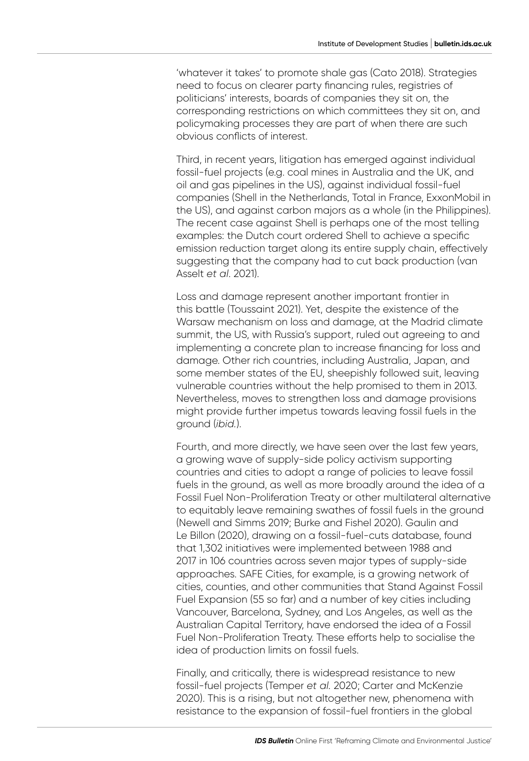'whatever it takes' to promote shale gas (Cato 2018). Strategies need to focus on clearer party financing rules, registries of politicians' interests, boards of companies they sit on, the corresponding restrictions on which committees they sit on, and policymaking processes they are part of when there are such obvious conflicts of interest.

Third, in recent years, litigation has emerged against individual fossil-fuel projects (e.g. coal mines in Australia and the UK, and oil and gas pipelines in the US), against individual fossil-fuel companies (Shell in the Netherlands, Total in France, ExxonMobil in the US), and against carbon majors as a whole (in the Philippines). The recent case against Shell is perhaps one of the most telling examples: the Dutch court ordered Shell to achieve a specific emission reduction target along its entire supply chain, effectively suggesting that the company had to cut back production (van Asselt *et al*. 2021).

Loss and damage represent another important frontier in this battle (Toussaint 2021). Yet, despite the existence of the Warsaw mechanism on loss and damage, at the Madrid climate summit, the US, with Russia's support, ruled out agreeing to and implementing a concrete plan to increase financing for loss and damage. Other rich countries, including Australia, Japan, and some member states of the EU, sheepishly followed suit, leaving vulnerable countries without the help promised to them in 2013. Nevertheless, moves to strengthen loss and damage provisions might provide further impetus towards leaving fossil fuels in the ground (*ibid.*).

Fourth, and more directly, we have seen over the last few years, a growing wave of supply-side policy activism supporting countries and cities to adopt a range of policies to leave fossil fuels in the ground, as well as more broadly around the idea of a Fossil Fuel Non-Proliferation Treaty or other multilateral alternative to equitably leave remaining swathes of fossil fuels in the ground (Newell and Simms 2019; Burke and Fishel 2020). Gaulin and Le Billon (2020), drawing on a fossil-fuel-cuts database, found that 1,302 initiatives were implemented between 1988 and 2017 in 106 countries across seven major types of supply-side approaches. SAFE Cities, for example, is a growing network of cities, counties, and other communities that Stand Against Fossil Fuel Expansion (55 so far) and a number of key cities including Vancouver, Barcelona, Sydney, and Los Angeles, as well as the Australian Capital Territory, have endorsed the idea of a Fossil Fuel Non-Proliferation Treaty. These efforts help to socialise the idea of production limits on fossil fuels.

Finally, and critically, there is widespread resistance to new fossil-fuel projects (Temper *et al.* 2020; Carter and McKenzie 2020). This is a rising, but not altogether new, phenomena with resistance to the expansion of fossil-fuel frontiers in the global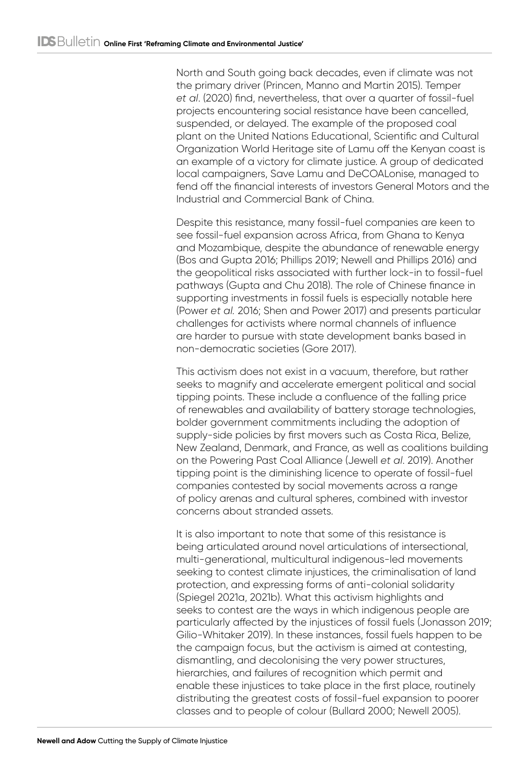North and South going back decades, even if climate was not the primary driver (Princen, Manno and Martin 2015). Temper *et al*. (2020) find, nevertheless, that over a quarter of fossil-fuel projects encountering social resistance have been cancelled, suspended, or delayed. The example of the proposed coal plant on the United Nations Educational, Scientific and Cultural Organization World Heritage site of Lamu off the Kenyan coast is an example of a victory for climate justice. A group of dedicated local campaigners, Save Lamu and DeCOALonise, managed to fend off the financial interests of investors General Motors and the Industrial and Commercial Bank of China.

Despite this resistance, many fossil-fuel companies are keen to see fossil-fuel expansion across Africa, from Ghana to Kenya and Mozambique, despite the abundance of renewable energy (Bos and Gupta 2016; Phillips 2019; Newell and Phillips 2016) and the geopolitical risks associated with further lock-in to fossil-fuel pathways (Gupta and Chu 2018). The role of Chinese finance in supporting investments in fossil fuels is especially notable here (Power *et al.* 2016; Shen and Power 2017) and presents particular challenges for activists where normal channels of influence are harder to pursue with state development banks based in non-democratic societies (Gore 2017).

This activism does not exist in a vacuum, therefore, but rather seeks to magnify and accelerate emergent political and social tipping points. These include a confluence of the falling price of renewables and availability of battery storage technologies, bolder government commitments including the adoption of supply-side policies by first movers such as Costa Rica, Belize, New Zealand, Denmark, and France, as well as coalitions building on the Powering Past Coal Alliance (Jewell *et al*. 2019). Another tipping point is the diminishing licence to operate of fossil-fuel companies contested by social movements across a range of policy arenas and cultural spheres, combined with investor concerns about stranded assets.

It is also important to note that some of this resistance is being articulated around novel articulations of intersectional, multi-generational, multicultural indigenous-led movements seeking to contest climate injustices, the criminalisation of land protection, and expressing forms of anti-colonial solidarity (Spiegel 2021a, 2021b). What this activism highlights and seeks to contest are the ways in which indigenous people are particularly affected by the injustices of fossil fuels (Jonasson 2019; Gilio-Whitaker 2019). In these instances, fossil fuels happen to be the campaign focus, but the activism is aimed at contesting, dismantling, and decolonising the very power structures, hierarchies, and failures of recognition which permit and enable these injustices to take place in the first place, routinely distributing the greatest costs of fossil-fuel expansion to poorer classes and to people of colour (Bullard 2000; Newell 2005).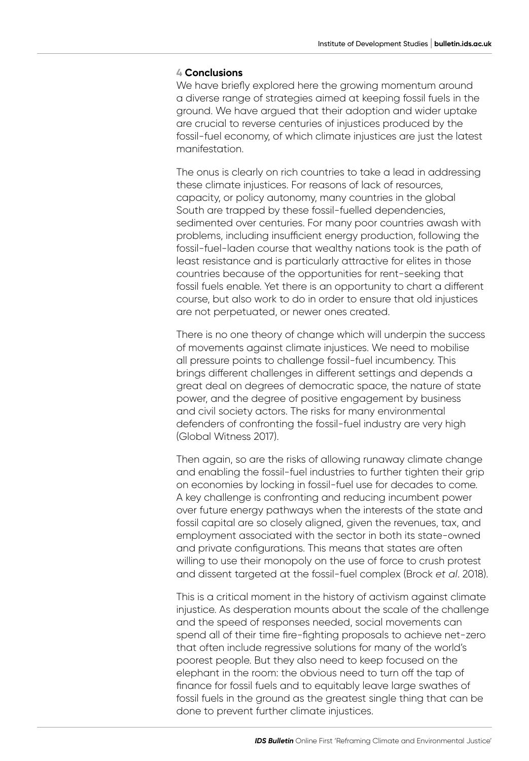### **4 Conclusions**

We have briefly explored here the growing momentum around a diverse range of strategies aimed at keeping fossil fuels in the ground. We have argued that their adoption and wider uptake are crucial to reverse centuries of injustices produced by the fossil-fuel economy, of which climate injustices are just the latest manifestation.

The onus is clearly on rich countries to take a lead in addressing these climate injustices. For reasons of lack of resources, capacity, or policy autonomy, many countries in the global South are trapped by these fossil-fuelled dependencies, sedimented over centuries. For many poor countries awash with problems, including insufficient energy production, following the fossil-fuel-laden course that wealthy nations took is the path of least resistance and is particularly attractive for elites in those countries because of the opportunities for rent-seeking that fossil fuels enable. Yet there is an opportunity to chart a different course, but also work to do in order to ensure that old injustices are not perpetuated, or newer ones created.

There is no one theory of change which will underpin the success of movements against climate injustices. We need to mobilise all pressure points to challenge fossil-fuel incumbency. This brings different challenges in different settings and depends a great deal on degrees of democratic space, the nature of state power, and the degree of positive engagement by business and civil society actors. The risks for many environmental defenders of confronting the fossil-fuel industry are very high (Global Witness 2017).

Then again, so are the risks of allowing runaway climate change and enabling the fossil-fuel industries to further tighten their grip on economies by locking in fossil-fuel use for decades to come. A key challenge is confronting and reducing incumbent power over future energy pathways when the interests of the state and fossil capital are so closely aligned, given the revenues, tax, and employment associated with the sector in both its state-owned and private configurations. This means that states are often willing to use their monopoly on the use of force to crush protest and dissent targeted at the fossil-fuel complex (Brock *et al*. 2018).

This is a critical moment in the history of activism against climate injustice. As desperation mounts about the scale of the challenge and the speed of responses needed, social movements can spend all of their time fire-fighting proposals to achieve net-zero that often include regressive solutions for many of the world's poorest people. But they also need to keep focused on the elephant in the room: the obvious need to turn off the tap of finance for fossil fuels and to equitably leave large swathes of fossil fuels in the ground as the greatest single thing that can be done to prevent further climate injustices.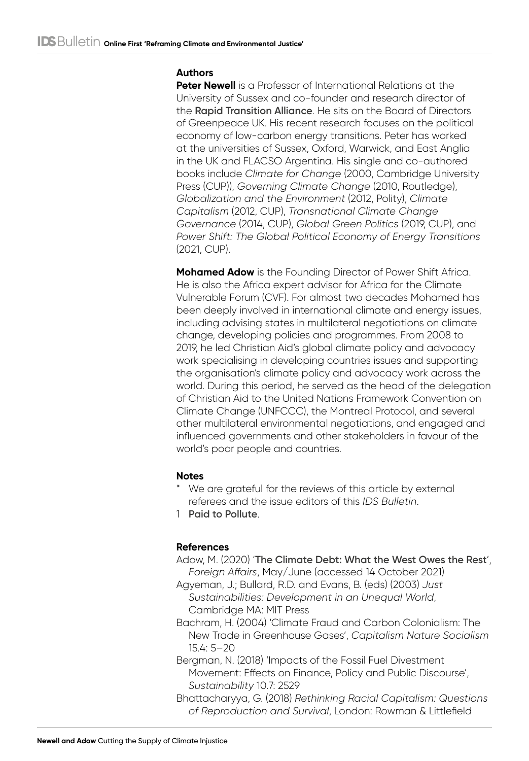# **Authors**

**Peter Newell** is a Professor of International Relations at the University of Sussex and co-founder and research director of the **[Rapid Transition Alliance](https://www.rapidtransition.org/)**. He sits on the Board of Directors of Greenpeace UK. His recent research focuses on the political economy of low-carbon energy transitions. Peter has worked at the universities of Sussex, Oxford, Warwick, and East Anglia in the UK and FLACSO Argentina. His single and co-authored books include *Climate for Change* (2000, Cambridge University Press (CUP)), *Governing Climate Change* (2010, Routledge), *Globalization and the Environment* (2012, Polity), *Climate Capitalism* (2012, CUP), *Transnational Climate Change Governance* (2014, CUP), *Global Green Politics* (2019, CUP), and *Power Shift: The Global Political Economy of Energy Transitions* (2021, CUP).

**Mohamed Adow** is the Founding Director of Power Shift Africa. He is also the Africa expert advisor for Africa for the Climate Vulnerable Forum (CVF). For almost two decades Mohamed has been deeply involved in international climate and energy issues, including advising states in multilateral negotiations on climate change, developing policies and programmes. From 2008 to 2019, he led Christian Aid's global climate policy and advocacy work specialising in developing countries issues and supporting the organisation's climate policy and advocacy work across the world. During this period, he served as the head of the delegation of Christian Aid to the United Nations Framework Convention on Climate Change (UNFCCC), the Montreal Protocol, and several other multilateral environmental negotiations, and engaged and influenced governments and other stakeholders in favour of the world's poor people and countries.

# **Notes**

- We are grateful for the reviews of this article by external referees and the issue editors of this *IDS Bulletin*.
- 1 **[Paid to Pollute](https://paidtopollute.org.uk/)**.

# **References**

- Adow, M. (2020) '**[The Climate Debt: What the West Owes the Rest](https://www.foreignaffairs.com/articles/world/2020-04-13/climate-debt)**', *Foreign Affairs*, May/June (accessed 14 October 2021)
- Agyeman, J.; Bullard, R.D. and Evans, B. (eds) (2003) *Just Sustainabilities: Development in an Unequal World*, Cambridge MA: MIT Press
- Bachram, H. (2004) 'Climate Fraud and Carbon Colonialism: The New Trade in Greenhouse Gases', *Capitalism Nature Socialism* 15.4: 5–20
- Bergman, N. (2018) 'Impacts of the Fossil Fuel Divestment Movement: Effects on Finance, Policy and Public Discourse', *Sustainability* 10.7: 2529
- Bhattacharyya, G. (2018) *Rethinking Racial Capitalism: Questions of Reproduction and Survival*, London: Rowman & Littlefield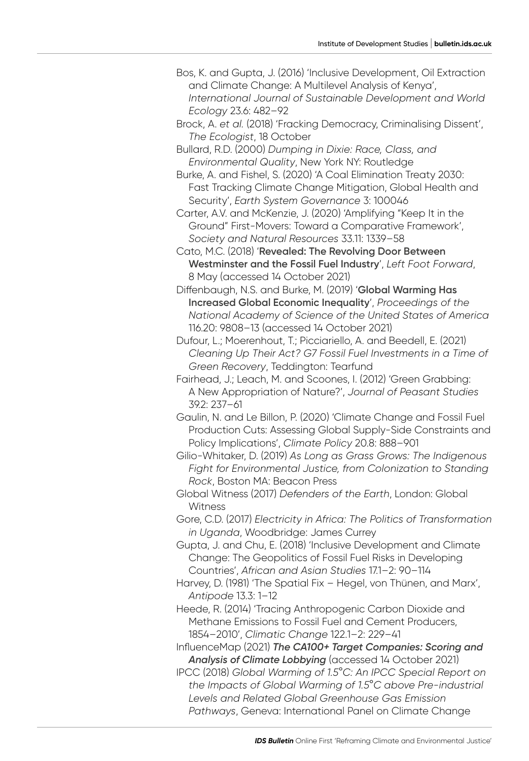- Bos, K. and Gupta, J. (2016) 'Inclusive Development, Oil Extraction and Climate Change: A Multilevel Analysis of Kenya', *International Journal of Sustainable Development and World Ecology* 23.6: 482–92
- Brock, A. *et al.* (2018) 'Fracking Democracy, Criminalising Dissent', *The Ecologist*, 18 October
- Bullard, R.D. (2000) *Dumping in Dixie: Race, Class, and Environmental Quality*, New York NY: Routledge
- Burke, A. and Fishel, S. (2020) 'A Coal Elimination Treaty 2030: Fast Tracking Climate Change Mitigation, Global Health and Security', *Earth System Governance* 3: 100046
- Carter, A.V. and McKenzie, J. (2020) 'Amplifying "Keep It in the Ground" First-Movers: Toward a Comparative Framework', *Society and Natural Resources* 33.11: 1339–58
- Cato, M.C. (2018) '**[Revealed: The Revolving Door Between](https://leftfootforward.org/2018/05/the-revolving-door-between-westminster-and-the-fossil-fuel-industry/)  [Westminster and the Fossil Fuel Industry](https://leftfootforward.org/2018/05/the-revolving-door-between-westminster-and-the-fossil-fuel-industry/)**', *Left Foot Forward*, 8 May (accessed 14 October 2021)
- Diffenbaugh, N.S. and Burke, M. (2019) '**[Global Warming Has](https://www.pnas.org/content/116/20/9808)  [Increased Global Economic Inequality](https://www.pnas.org/content/116/20/9808)**', *Proceedings of the National Academy of Science of the United States of America*  116.20: 9808–13 (accessed 14 October 2021)
- Dufour, L.; Moerenhout, T.; Picciariello, A. and Beedell, E. (2021) *Cleaning Up Their Act? G7 Fossil Fuel Investments in a Time of Green Recovery*, Teddington: Tearfund
- Fairhead, J.; Leach, M. and Scoones, I. (2012) 'Green Grabbing: A New Appropriation of Nature?', *Journal of Peasant Studies* 39.2: 237–61
- Gaulin, N. and Le Billon, P. (2020) 'Climate Change and Fossil Fuel Production Cuts: Assessing Global Supply-Side Constraints and Policy Implications', *Climate Policy* 20.8: 888–901
- Gilio-Whitaker, D. (2019) *As Long as Grass Grows: The Indigenous Fight for Environmental Justice, from Colonization to Standing Rock*, Boston MA: Beacon Press
- Global Witness (2017) *Defenders of the Earth*, London: Global **Witness**
- Gore, C.D. (2017) *Electricity in Africa: The Politics of Transformation in Uganda*, Woodbridge: James Currey
- Gupta, J. and Chu, E. (2018) 'Inclusive Development and Climate Change: The Geopolitics of Fossil Fuel Risks in Developing Countries', *African and Asian Studies* 17.1–2: 90–114
- Harvey, D. (1981) 'The Spatial Fix Hegel, von Thünen, and Marx', *Antipode* 13.3: 1–12
- Heede, R. (2014) 'Tracing Anthropogenic Carbon Dioxide and Methane Emissions to Fossil Fuel and Cement Producers, 1854–2010', *Climatic Change* 122.1–2: 229–41
- InfluenceMap (2021) *[The CA100+ Target Companies: Scoring and](https://influencemap.org/filter/List-of-Companies-and-Influencers#3)  [Analysis of Climate Lobbying](https://influencemap.org/filter/List-of-Companies-and-Influencers#3)* (accessed 14 October 2021)
- IPCC (2018) *Global Warming of 1.5*°*C: An IPCC Special Report on the Impacts of Global Warming of 1.5*°*C above Pre-industrial Levels and Related Global Greenhouse Gas Emission Pathways*, Geneva: International Panel on Climate Change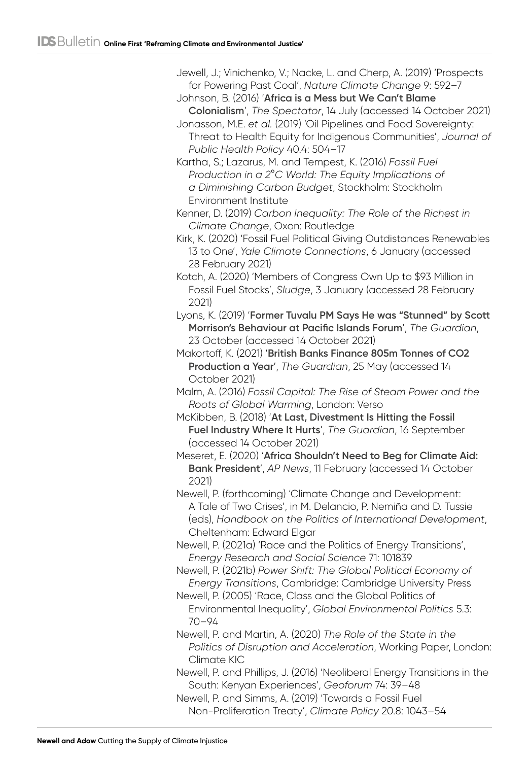Jewell, J.; Vinichenko, V.; Nacke, L. and Cherp, A. (2019) 'Prospects for Powering Past Coal', *Nature Climate Change* 9: 592–7

Johnson, B. (2016) '**[Africa is a Mess but We Can't Blame](https://www.spectator.co.uk/article/the-boris-archive-africa-is-a-mess-but-we-can-t-blame-colonialism)  [Colonialism](https://www.spectator.co.uk/article/the-boris-archive-africa-is-a-mess-but-we-can-t-blame-colonialism)**', *The Spectator*, 14 July (accessed 14 October 2021)

Jonasson, M.E. *et al.* (2019) 'Oil Pipelines and Food Sovereignty: Threat to Health Equity for Indigenous Communities', *Journal of Public Health Policy* 40.4: 504–17

Kartha, S.; Lazarus, M. and Tempest, K. (2016) *Fossil Fuel Production in a 2*°*C World: The Equity Implications of a Diminishing Carbon Budget*, Stockholm: Stockholm Environment Institute

Kenner, D. (2019) *Carbon Inequality: The Role of the Richest in Climate Change*, Oxon: Routledge

Kirk, K. (2020) 'Fossil Fuel Political Giving Outdistances Renewables 13 to One', *Yale Climate Connections*, 6 January (accessed 28 February 2021)

Kotch, A. (2020) 'Members of Congress Own Up to \$93 Million in Fossil Fuel Stocks', *Sludge*, 3 January (accessed 28 February 2021)

Lyons, K. (2019) '**[Former Tuvalu PM Says He was "Stunned" by Scott](https://www.theguardian.com/australia-news/2019/oct/23/former-tuvalu-pm-says-he-was-stunned-by-scott-morrisons-behaviour-at-pacific-islands-forum)  [Morrison's Behaviour at Pacific Islands Forum](https://www.theguardian.com/australia-news/2019/oct/23/former-tuvalu-pm-says-he-was-stunned-by-scott-morrisons-behaviour-at-pacific-islands-forum)**', *The Guardian*, 23 October (accessed 14 October 2021)

Makortoff, K. (2021) '**[British Banks Finance 805m Tonnes of CO2](https://www.theguardian.com/environment/2021/may/25/british-banks-finance-805m-tonnes-of-co2-production-a-year)  [Production a Year](https://www.theguardian.com/environment/2021/may/25/british-banks-finance-805m-tonnes-of-co2-production-a-year)**', *The Guardian*, 25 May (accessed 14 October 2021)

Malm, A. (2016) *Fossil Capital: The Rise of Steam Power and the Roots of Global Warming*, London: Verso

McKibben, B. (2018) '**[At Last, Divestment Is Hitting the Fossil](http://www.theguardian.com/commentisfree/2018/dec/16/divestment-fossil-fuel-industry-trillions-dollars-investments-carbon)  [Fuel Industry Where It Hurts](http://www.theguardian.com/commentisfree/2018/dec/16/divestment-fossil-fuel-industry-trillions-dollars-investments-carbon)**', *The Guardian*, 16 September (accessed 14 October 2021)

Meseret, E. (2020) '**[Africa Shouldn't Need to Beg for Climate Aid:](https://apnews.com/article/0fc5426b420863ad4ca639578e2767bd)  [Bank President](https://apnews.com/article/0fc5426b420863ad4ca639578e2767bd)**', *AP News*, 11 February (accessed 14 October 2021)

Newell, P. (forthcoming) 'Climate Change and Development: A Tale of Two Crises', in M. Delancio, P. Nemiña and D. Tussie (eds), *Handbook on the Politics of International Development*, Cheltenham: Edward Elgar

Newell, P. (2021a) 'Race and the Politics of Energy Transitions', *Energy Research and Social Science* 71: 101839

Newell, P. (2021b) *Power Shift: The Global Political Economy of Energy Transitions*, Cambridge: Cambridge University Press

Newell, P. (2005) 'Race, Class and the Global Politics of Environmental Inequality', *Global Environmental Politics* 5.3: 70–94

Newell, P. and Martin, A. (2020) *The Role of the State in the Politics of Disruption and Acceleration*, Working Paper, London: Climate KIC

Newell, P. and Phillips, J. (2016) 'Neoliberal Energy Transitions in the South: Kenyan Experiences', *Geoforum* 74: 39–48

Newell, P. and Simms, A. (2019) 'Towards a Fossil Fuel Non-Proliferation Treaty', *Climate Policy* 20.8: 1043–54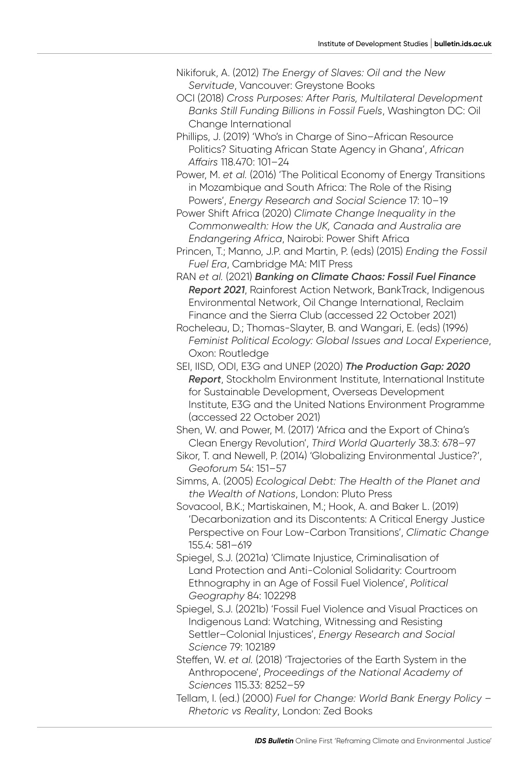- Nikiforuk, A. (2012) *The Energy of Slaves: Oil and the New Servitude*, Vancouver: Greystone Books
- OCI (2018) *Cross Purposes: After Paris, Multilateral Development Banks Still Funding Billions in Fossil Fuels*, Washington DC: Oil Change International
- Phillips, J. (2019) 'Who's in Charge of Sino–African Resource Politics? Situating African State Agency in Ghana', *African Affairs* 118.470: 101–24
- Power, M. *et al.* (2016) 'The Political Economy of Energy Transitions in Mozambique and South Africa: The Role of the Rising Powers', *Energy Research and Social Science* 17: 10–19
- Power Shift Africa (2020) *Climate Change Inequality in the Commonwealth: How the UK, Canada and Australia are Endangering Africa*, Nairobi: Power Shift Africa
- Princen, T.; Manno, J.P. and Martin, P. (eds) (2015) *Ending the Fossil Fuel Era*, Cambridge MA: MIT Press
- RAN *et al.* (2021) *[Banking on Climate Chaos: Fossil Fuel Finance](https://www.ran.org/wp-content/uploads/2021/03/Banking-on-Climate-Chaos-2021.pdf)  [Report 2021](https://www.ran.org/wp-content/uploads/2021/03/Banking-on-Climate-Chaos-2021.pdf)*, Rainforest Action Network, BankTrack, Indigenous Environmental Network, Oil Change International, Reclaim Finance and the Sierra Club (accessed 22 October 2021)
- Rocheleau, D.; Thomas-Slayter, B. and Wangari, E. (eds) (1996) *Feminist Political Ecology: Global Issues and Local Experience*, Oxon: Routledge
- SEI, IISD, ODI, E3G and UNEP (2020) *[The Production Gap: 2020](https://productiongap.org/2020report/)  [Report](https://productiongap.org/2020report/)*, Stockholm Environment Institute, International Institute for Sustainable Development, Overseas Development Institute, E3G and the United Nations Environment Programme (accessed 22 October 2021)

Shen, W. and Power, M. (2017) 'Africa and the Export of China's Clean Energy Revolution', *Third World Quarterly* 38.3: 678–97

Sikor, T. and Newell, P. (2014) 'Globalizing Environmental Justice?', *Geoforum* 54: 151–57

Simms, A. (2005) *Ecological Debt: The Health of the Planet and the Wealth of Nations*, London: Pluto Press

- Sovacool, B.K.; Martiskainen, M.; Hook, A. and Baker L. (2019) 'Decarbonization and its Discontents: A Critical Energy Justice Perspective on Four Low-Carbon Transitions', *Climatic Change* 155.4: 581–619
- Spiegel, S.J. (2021a) 'Climate Injustice, Criminalisation of Land Protection and Anti-Colonial Solidarity: Courtroom Ethnography in an Age of Fossil Fuel Violence', *Political Geography* 84: 102298
- Spiegel, S.J. (2021b) 'Fossil Fuel Violence and Visual Practices on Indigenous Land: Watching, Witnessing and Resisting Settler–Colonial Injustices', *Energy Research and Social Science* 79: 102189
- Steffen, W. *et al.* (2018) 'Trajectories of the Earth System in the Anthropocene', *Proceedings of the National Academy of Sciences* 115.33: 8252–59
- Tellam, I. (ed.) (2000) *Fuel for Change: World Bank Energy Policy Rhetoric vs Reality*, London: Zed Books